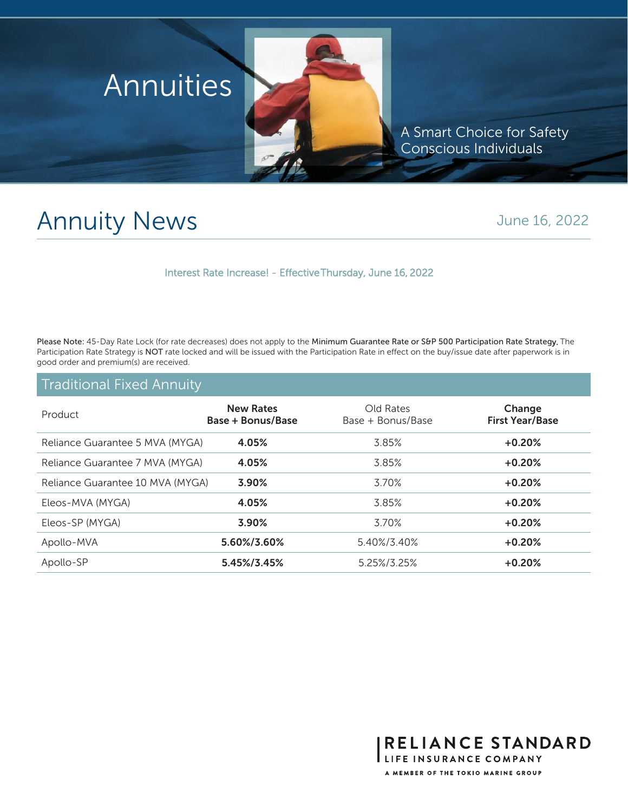

A Smart Choice for Safety Conscious Individuals

RELIANCE STANDARD

LIFE INSURANCE COMPANY A MEMBER OF THE TOKIO MARINE GROUP

## Annuity News

## June 16, 2022

Interest Rate Increase! - Effective Thursday, June 16, 2022

Please Note: 45-Day Rate Lock (for rate decreases) does not apply to the Minimum Guarantee Rate or S&P 500 Participation Rate Strategy. The Participation Rate Strategy is NOT rate locked and will be issued with the Participation Rate in effect on the buy/issue date after paperwork is in good order and premium(s) are received.

## Traditional Fixed Annuity

| Product                          | <b>New Rates</b><br>Base + Bonus/Base | Old Rates<br>Base + Bonus/Base | Change<br><b>First Year/Base</b> |
|----------------------------------|---------------------------------------|--------------------------------|----------------------------------|
| Reliance Guarantee 5 MVA (MYGA)  | 4.05%                                 | 3.85%                          | $+0.20%$                         |
| Reliance Guarantee 7 MVA (MYGA)  | 4.05%                                 | 3.85%                          | $+0.20%$                         |
| Reliance Guarantee 10 MVA (MYGA) | 3.90%                                 | 3.70%                          | $+0.20%$                         |
| Eleos-MVA (MYGA)                 | 4.05%                                 | 3.85%                          | $+0.20%$                         |
| Eleos-SP (MYGA)                  | 3.90%                                 | 3.70%                          | $+0.20%$                         |
| Apollo-MVA                       | 5.60%/3.60%                           | 5.40%/3.40%                    | $+0.20%$                         |
| Apollo-SP                        | 5.45%/3.45%                           | 5.25%/3.25%                    | $+0.20%$                         |